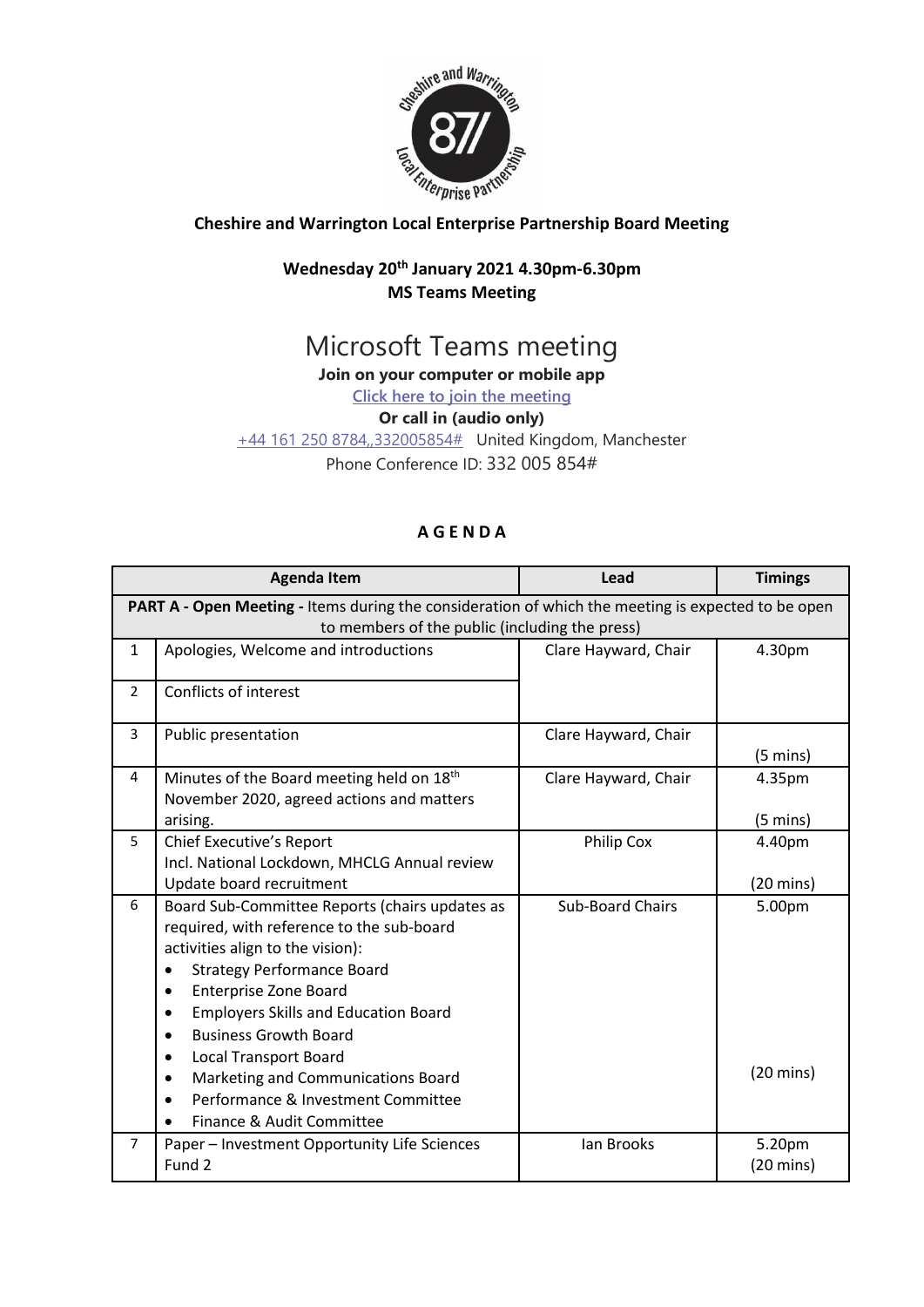

## **Cheshire and Warrington Local Enterprise Partnership Board Meeting**

## **Wednesday 20th January 2021 4.30pm-6.30pm MS Teams Meeting**

# Microsoft Teams meeting

**Join on your computer or mobile app**

**[Click here to join the meeting](https://teams.microsoft.com/l/meetup-join/19%3ameeting_ZWViMDBiMzQtM2E5OS00YTI4LWI1OWUtYjg5NTE5MTc4NWU3%40thread.v2/0?context=%7b%22Tid%22%3a%229fdc30f0-07e8-4ece-96e4-5daef8d479d1%22%2c%22Oid%22%3a%226c5251ba-0d3a-40c0-b933-9dcb03aa1bd1%22%7d)**

#### **Or call in (audio only)**

[+44 161 250 8784,,332005854#](tel:+441612508784,,332005854# ) United Kingdom, Manchester Phone Conference ID: 332 005 854#

### **A G E N D A**

| <b>Agenda Item</b>                                                                                 |                                                                                             | Lead                    | <b>Timings</b>      |  |
|----------------------------------------------------------------------------------------------------|---------------------------------------------------------------------------------------------|-------------------------|---------------------|--|
| PART A - Open Meeting - Items during the consideration of which the meeting is expected to be open |                                                                                             |                         |                     |  |
| to members of the public (including the press)                                                     |                                                                                             |                         |                     |  |
| $\mathbf{1}$                                                                                       | Apologies, Welcome and introductions                                                        | Clare Hayward, Chair    | 4.30pm              |  |
| $\overline{2}$                                                                                     | Conflicts of interest                                                                       |                         |                     |  |
| 3                                                                                                  | Public presentation                                                                         | Clare Hayward, Chair    | $(5 \text{ mins})$  |  |
| 4                                                                                                  | Minutes of the Board meeting held on 18th<br>November 2020, agreed actions and matters      | Clare Hayward, Chair    | 4.35pm              |  |
|                                                                                                    | arising.                                                                                    |                         | $(5 \text{ mins})$  |  |
| 5                                                                                                  | Chief Executive's Report                                                                    | Philip Cox              | 4.40pm              |  |
|                                                                                                    | Incl. National Lockdown, MHCLG Annual review                                                |                         |                     |  |
|                                                                                                    | Update board recruitment                                                                    |                         | $(20 \text{ mins})$ |  |
| 6                                                                                                  | Board Sub-Committee Reports (chairs updates as<br>required, with reference to the sub-board | <b>Sub-Board Chairs</b> | 5.00pm              |  |
|                                                                                                    | activities align to the vision):                                                            |                         |                     |  |
|                                                                                                    | <b>Strategy Performance Board</b><br>$\bullet$                                              |                         |                     |  |
|                                                                                                    | <b>Enterprise Zone Board</b><br>$\bullet$                                                   |                         |                     |  |
|                                                                                                    | <b>Employers Skills and Education Board</b>                                                 |                         |                     |  |
|                                                                                                    | <b>Business Growth Board</b><br>$\bullet$                                                   |                         |                     |  |
|                                                                                                    | <b>Local Transport Board</b><br>$\bullet$                                                   |                         |                     |  |
|                                                                                                    | Marketing and Communications Board<br>٠                                                     |                         | $(20 \text{ mins})$ |  |
|                                                                                                    | Performance & Investment Committee<br>$\bullet$                                             |                         |                     |  |
|                                                                                                    | Finance & Audit Committee                                                                   |                         |                     |  |
| $\overline{7}$                                                                                     | Paper - Investment Opportunity Life Sciences                                                | lan Brooks              | 5.20pm              |  |
|                                                                                                    | Fund 2                                                                                      |                         | $(20 \text{ mins})$ |  |